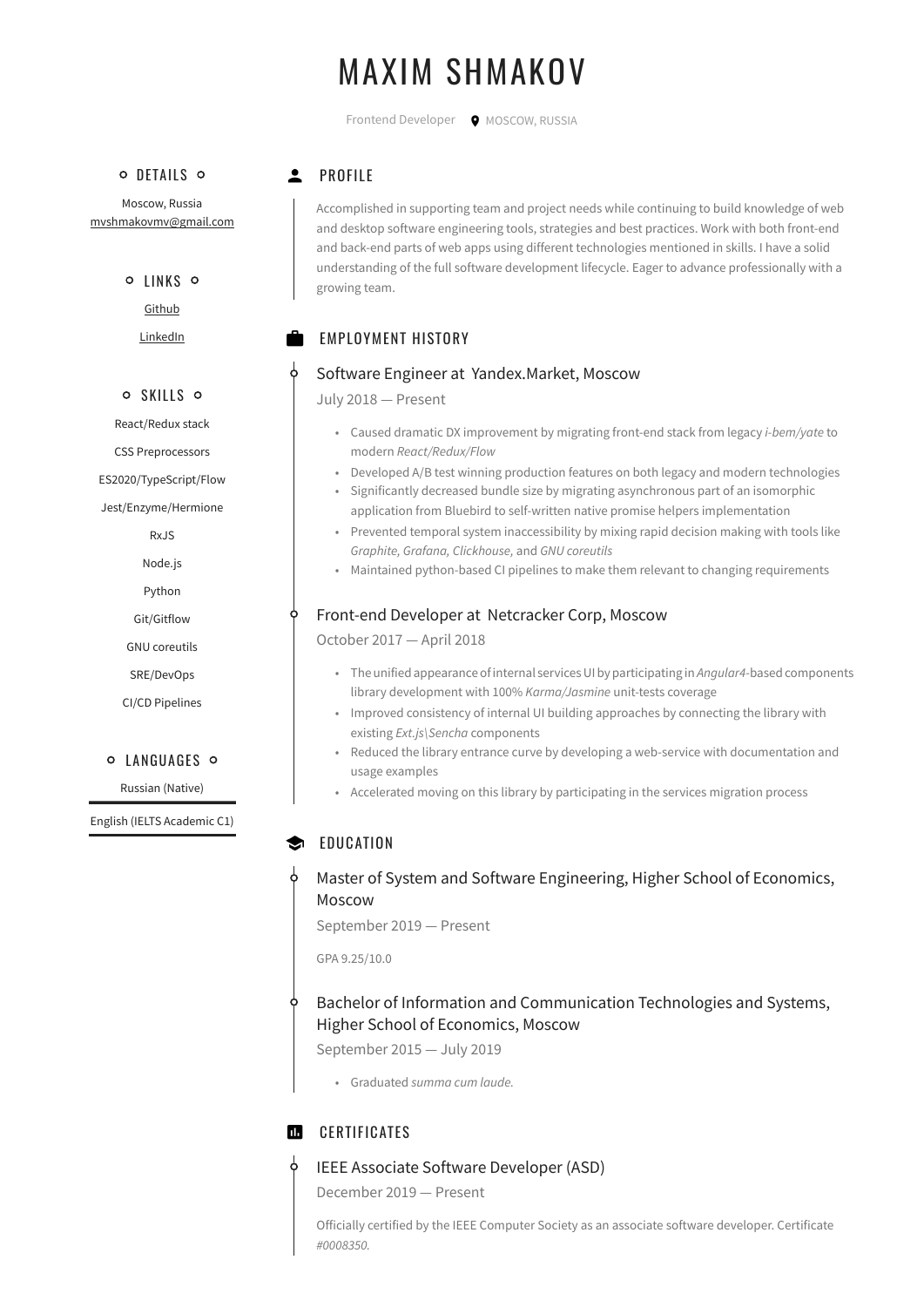# MAXIM SHMAKOV

Frontend Developer  $\bullet$  MOSCOW, RUSSIA

#### o DETAILS o

Moscow, Russia [mvshmakovmv@gmail.com](mailto:mvshmakovmv@gmail.com)

#### o IINKS o

[Github](http://github.com/mvshmakov)

[LinkedIn](http://linkedin.com/in/mvshmakov/)

#### o SKILLS o

React/Redux stack

CSS Preprocessors

ES2020/TypeScript/Flow

Jest/Enzyme/Hermione

RxJS

- Node.js
- Python

Git/Gitflow

GNU coreutils

SRE/DevOps

CI/CD Pipelines

#### **O** LANGUAGES O

Russian (Native)

English (IELTS Academic C1)

# **2** PROFILE

Accomplished in supporting team and project needs while continuing to build knowledge of web and desktop software engineering tools, strategies and best practices. Work with both front-end and back-end parts of web apps using different technologies mentioned in skills. I have a solid understanding of the full software development lifecycle. Eager to advance professionally with a growing team.

# EMPLOYMENT HISTORY

#### Software Engineer at Yandex.Market, Moscow

July 2018 — Present

- Caused dramatic DX improvement by migrating front-end stack from legacy *i-bem/yate* to modern *React/Redux/Flow*
- Developed A/B test winning production features on both legacy and modern technologies
- Significantly decreased bundle size by migrating asynchronous part of an isomorphic application from Bluebird to self-written native promise helpers implementation
- Prevented temporal system inaccessibility by mixing rapid decision making with tools like *Graphite, Grafana, Clickhouse,* and *GNU coreutils*
- Maintained python-based CI pipelines to make them relevant to changing requirements

## Front-end Developer at Netcracker Corp, Moscow

October 2017 — April 2018

- The unified appearance of internal services UI by participating in *Angular4*-based components library development with 100% *Karma/Jasmine* unit-tests coverage
- Improved consistency of internal UI building approaches by connecting the library with existing *Ext.js\Sencha* components
- Reduced the library entrance curve by developing a web-service with documentation and usage examples
- Accelerated moving on this library by participating in the services migration process

# EDUCATION

## Master of System and Software Engineering, Higher School of Economics, Moscow

September 2019 — Present

GPA 9.25/10.0

# Bachelor of Information and Communication Technologies and Systems, Higher School of Economics, Moscow

September 2015 — July 2019

• Graduated *summa cum laude.*

#### $\blacksquare$ **CERTIFICATES**

#### IEEE Associate Software Developer (ASD)

December 2019 — Present

Officially certified by the IEEE Computer Society as an associate software developer. Certificate *#0008350.*